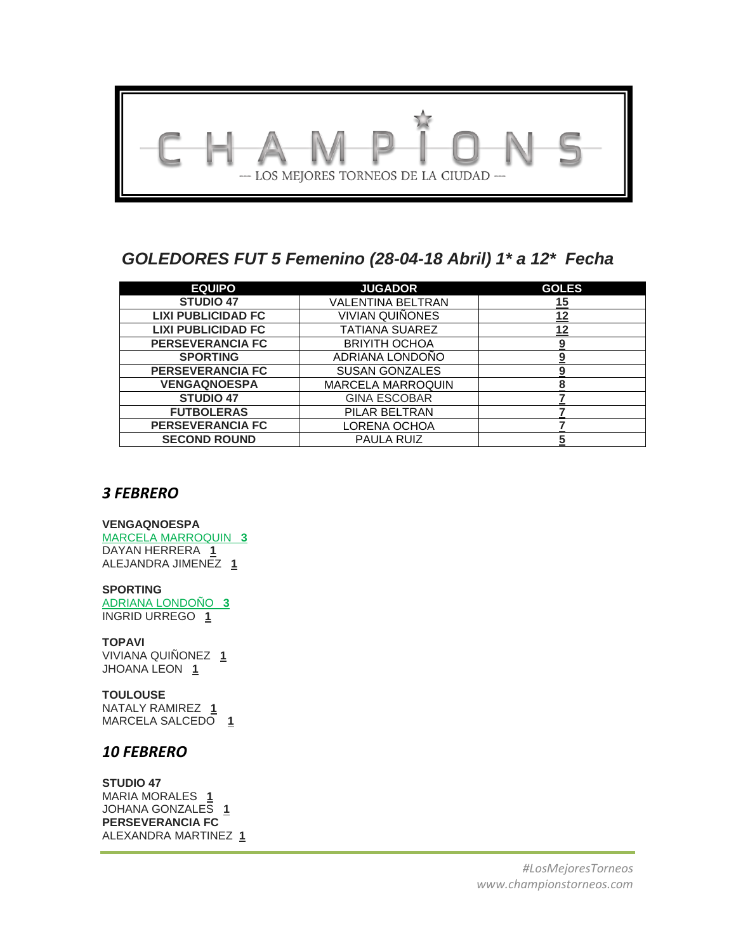

# *GOLEDORES FUT 5 Femenino (28-04-18 Abril) 1\* a 12\* Fecha*

| <b>EQUIPO</b>             | <b>JUGADOR</b>           | <b>GOLES</b> |
|---------------------------|--------------------------|--------------|
| <b>STUDIO 47</b>          | VALENTINA BELTRAN        | 15           |
| <b>LIXI PUBLICIDAD FC</b> | VIVIAN QUIÑONES          | 12           |
| <b>LIXI PUBLICIDAD FC</b> | TATIANA SUAREZ           | 12           |
| <b>PERSEVERANCIA FC</b>   | <b>BRIYITH OCHOA</b>     | 9            |
| <b>SPORTING</b>           | ADRIANA LONDOÑO          |              |
| <b>PERSEVERANCIA FC</b>   | <b>SUSAN GONZALES</b>    |              |
| <b>VENGAQNOESPA</b>       | <b>MARCELA MARROQUIN</b> | 8            |
| <b>STUDIO 47</b>          | <b>GINA ESCOBAR</b>      |              |
| <b>FUTBOLERAS</b>         | PILAR BELTRAN            |              |
| <b>PERSEVERANCIA FC</b>   | LORENA OCHOA             |              |
| <b>SECOND ROUND</b>       | PAULA RUIZ               |              |

## *3 FEBRERO*

### **VENGAQNOESPA**

MARCELA MARROQUIN **3** DAYAN HERRERA **1** ALEJANDRA JIMENEZ **1**

## **SPORTING**

ADRIANA LONDOÑO **3** INGRID URREGO **1**

## **TOPAVI**

VIVIANA QUIÑONEZ **1** JHOANA LEON **1**

## **TOULOUSE**

NATALY RAMIREZ **1** MARCELA SALCEDO **1**

## *10 FEBRERO*

**STUDIO 47** MARIA MORALES **1** JOHANA GONZALES **1 PERSEVERANCIA FC** ALEXANDRA MARTINEZ **1**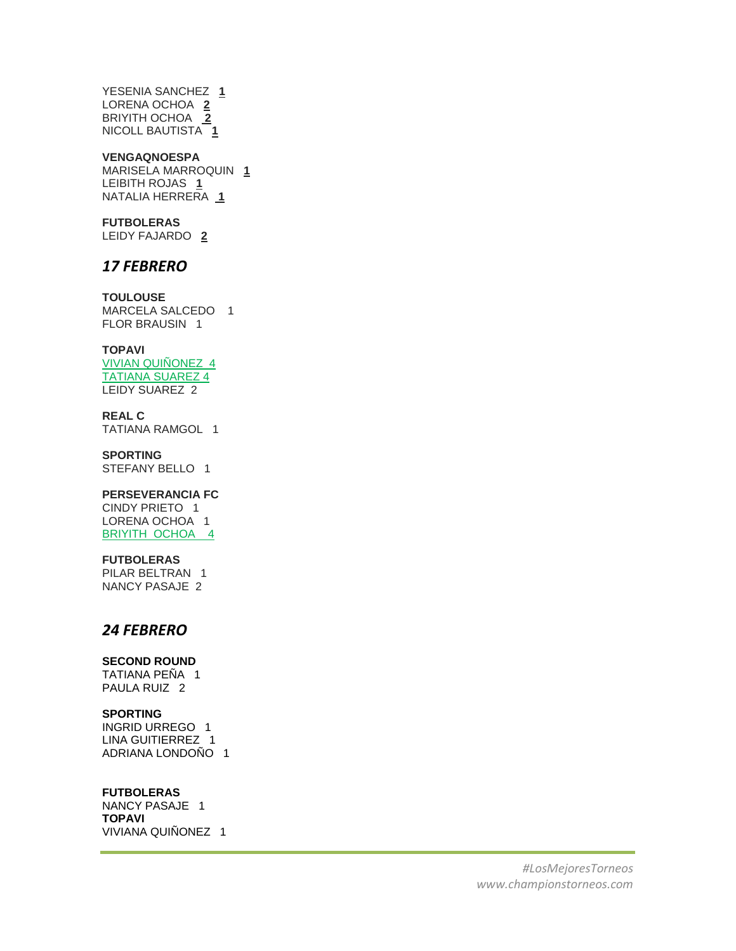YESENIA SANCHEZ **1** LORENA OCHOA **2** BRIYITH OCHOA **2** NICOLL BAUTISTA **1**

#### **VENGAQNOESPA**

MARISELA MARROQUIN **1** LEIBITH ROJAS **1** NATALIA HERRERA **1**

#### **FUTBOLERAS**

LEIDY FAJARDO **2**

## *17 FEBRERO*

**TOULOUSE** MARCELA SALCEDO 1 FLOR BRAUSIN 1

### **TOPAVI**

VIVIAN QUIÑONEZ 4 TATIANA SUAREZ 4 LEIDY SUAREZ 2

**REAL C** TATIANA RAMGOL 1

**SPORTING** STEFANY BELLO 1

### **PERSEVERANCIA FC**

CINDY PRIETO 1 LORENA OCHOA 1 BRIYITH OCHOA 4

#### **FUTBOLERAS**

PILAR BELTRAN 1 NANCY PASAJE 2

## *24 FEBRERO*

### **SECOND ROUND**

TATIANA PEÑA 1 PAULA RUIZ 2

## **SPORTING**

INGRID URREGO 1 LINA GUITIERREZ 1 ADRIANA LONDOÑO 1

### **FUTBOLERAS**

NANCY PASAJE 1 **TOPAVI**  VIVIANA QUIÑONEZ 1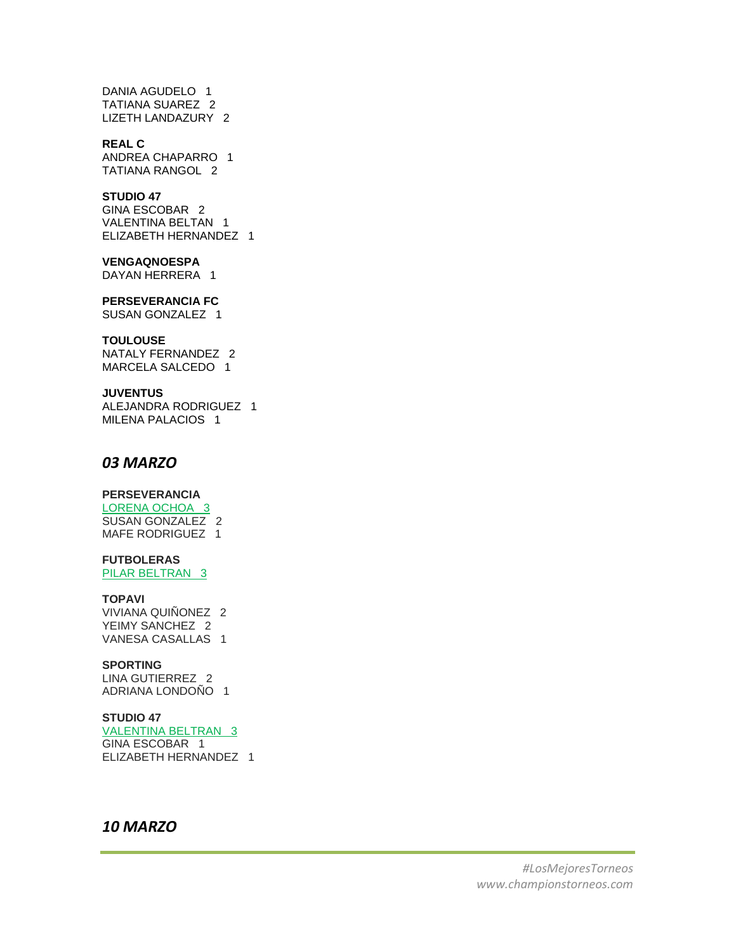DANIA AGUDELO 1 TATIANA SUAREZ 2 LIZETH LANDAZURY 2

#### **REAL C**

ANDREA CHAPARRO 1 TATIANA RANGOL 2

## **STUDIO 47**

GINA ESCOBAR 2 VALENTINA BELTAN 1 ELIZABETH HERNANDEZ 1

#### **VENGAQNOESPA**

DAYAN HERRERA 1

#### **PERSEVERANCIA FC**

SUSAN GONZALEZ 1

#### **TOULOUSE**

NATALY FERNANDEZ 2 MARCELA SALCEDO 1

#### **JUVENTUS**

ALEJANDRA RODRIGUEZ 1 MILENA PALACIOS 1

## *03 MARZO*

### **PERSEVERANCIA**

LORENA OCHOA 3 SUSAN GONZALEZ 2 MAFE RODRIGUEZ 1

## **FUTBOLERAS**

PILAR BELTRAN 3

#### **TOPAVI**

VIVIANA QUIÑONEZ 2 YEIMY SANCHEZ 2 VANESA CASALLAS 1

#### **SPORTING**

LINA GUTIERREZ 2 ADRIANA LONDOÑO 1

#### **STUDIO 47**

VALENTINA BELTRAN 3 GINA ESCOBAR 1 ELIZABETH HERNANDEZ 1

## *10 MARZO*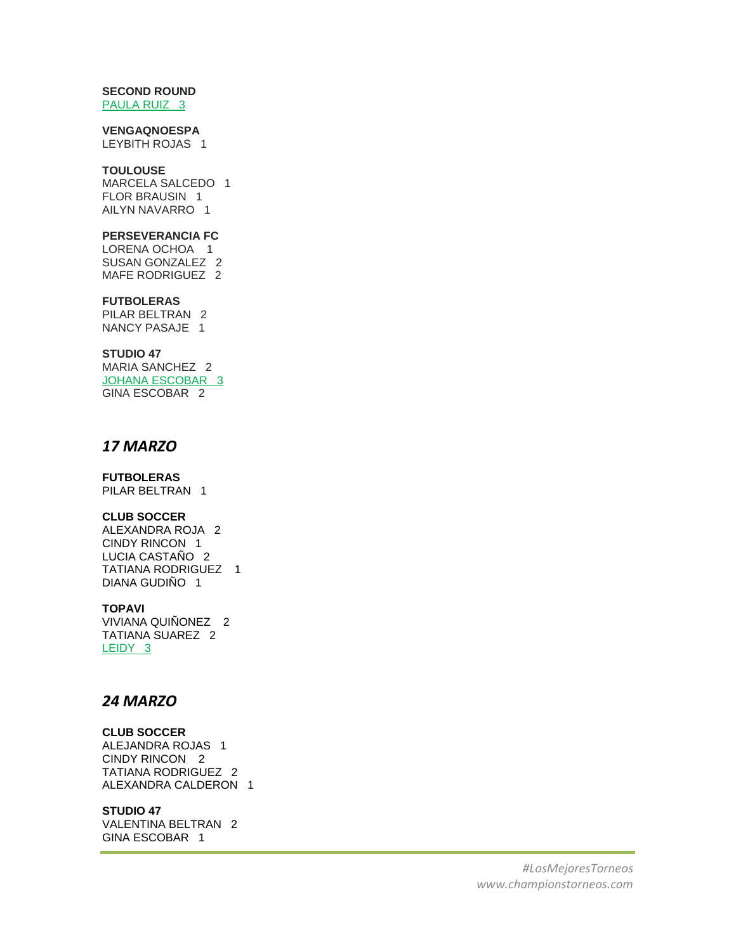#### **SECOND ROUND** PAULA RUIZ 3

## **VENGAQNOESPA**

LEYBITH ROJAS 1

### **TOULOUSE**

MARCELA SALCEDO 1 FLOR BRAUSIN 1 AILYN NAVARRO 1

### **PERSEVERANCIA FC**

LORENA OCHOA 1 SUSAN GONZALEZ 2 MAFE RODRIGUEZ 2

#### **FUTBOLERAS**

PILAR BELTRAN 2 NANCY PASAJE 1

### **STUDIO 47**

MARIA SANCHEZ 2 JOHANA ESCOBAR 3 GINA ESCOBAR 2

## *17 MARZO*

### **FUTBOLERAS**

PILAR BELTRAN 1

### **CLUB SOCCER**

ALEXANDRA ROJA 2 CINDY RINCON 1 LUCIA CASTAÑO 2 TATIANA RODRIGUEZ 1 DIANA GUDIÑO 1

### **TOPAVI**

VIVIANA QUIÑONEZ 2 TATIANA SUAREZ 2 LEIDY 3

## *24 MARZO*

### **CLUB SOCCER**

ALEJANDRA ROJAS 1 CINDY RINCON 2 TATIANA RODRIGUEZ 2 ALEXANDRA CALDERON 1

### **STUDIO 47**

VALENTINA BELTRAN 2 GINA ESCOBAR 1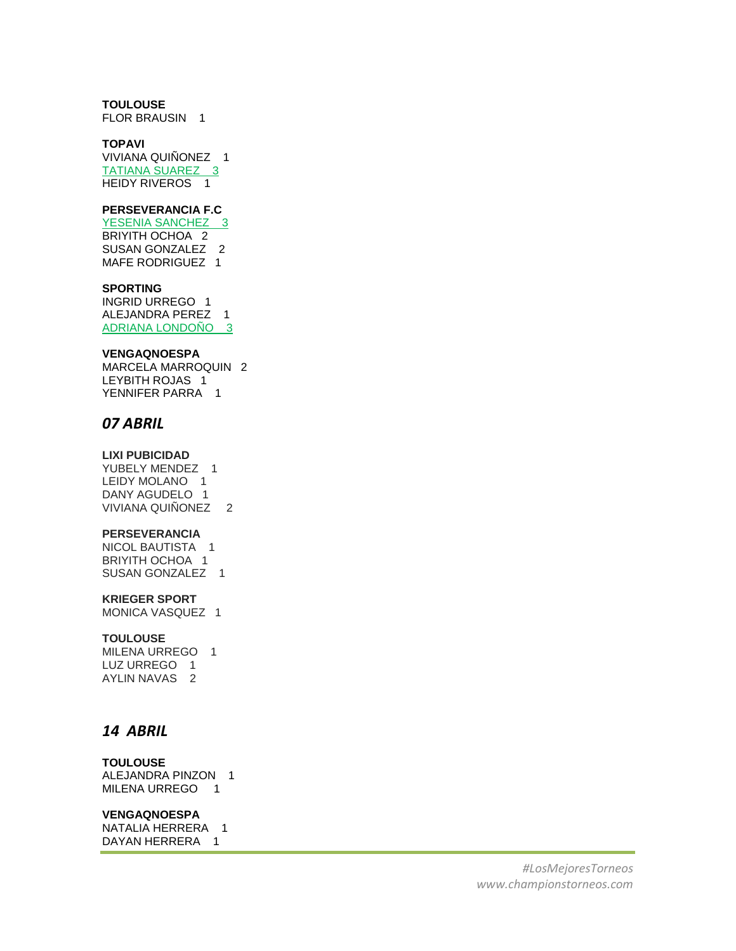### **TOULOUSE**

FLOR BRAUSIN 1

#### **TOPAVI**

VIVIANA QUIÑONEZ 1 TATIANA SUAREZ 3 HEIDY RIVEROS 1

#### **PERSEVERANCIA F.C**

YESENIA SANCHEZ<sub>3</sub> BRIYITH OCHOA 2 SUSAN GONZALEZ 2 MAFE RODRIGUEZ 1

#### **SPORTING**

INGRID URREGO 1 ALEJANDRA PEREZ 1 ADRIANA LONDOÑO 3

#### **VENGAQNOESPA**

MARCELA MARROQUIN 2 LEYBITH ROJAS 1 YENNIFER PARRA 1

## *07 ABRIL*

## **LIXI PUBICIDAD**

YUBELY MENDEZ 1 LEIDY MOLANO 1 DANY AGUDELO 1 VIVIANA QUIÑONEZ 2

#### **PERSEVERANCIA**

NICOL BAUTISTA 1 BRIYITH OCHOA 1 SUSAN GONZALEZ 1

#### **KRIEGER SPORT**

MONICA VASQUEZ 1

#### **TOULOUSE**

MILENA URREGO 1 LUZ URREGO 1 AYLIN NAVAS 2

## *14 ABRIL*

#### **TOULOUSE**

ALEJANDRA PINZON 1 MILENA URREGO 1

#### **VENGAQNOESPA**

NATALIA HERRERA 1 DAYAN HERRERA 1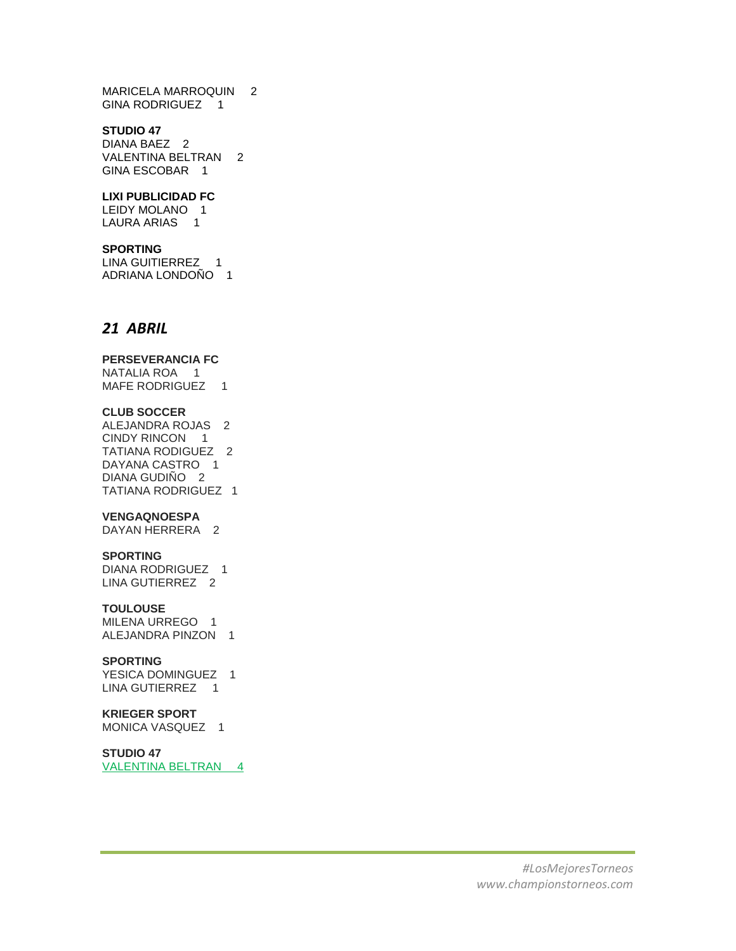MARICELA MARROQUIN 2 GINA RODRIGUEZ 1

#### **STUDIO 47**

DIANA BAEZ 2 VALENTINA BELTRAN 2 GINA ESCOBAR 1

#### **LIXI PUBLICIDAD FC**

LEIDY MOLANO 1 LAURA ARIAS 1

### **SPORTING**

LINA GUITIERREZ 1 ADRIANA LONDOÑO 1

## *21 ABRIL*

#### **PERSEVERANCIA FC**

NATALIA ROA 1 MAFE RODRIGUEZ 1

#### **CLUB SOCCER**

ALEJANDRA ROJAS 2 CINDY RINCON 1 TATIANA RODIGUEZ 2 DAYANA CASTRO 1 DIANA GUDIÑO 2 TATIANA RODRIGUEZ 1

#### **VENGAQNOESPA**

DAYAN HERRERA 2

### **SPORTING**

DIANA RODRIGUEZ 1 LINA GUTIERREZ 2

#### **TOULOUSE**

MILENA URREGO 1 ALEJANDRA PINZON 1

### **SPORTING**

YESICA DOMINGUEZ 1 LINA GUTIERREZ 1

## **KRIEGER SPORT**

MONICA VASQUEZ 1

**STUDIO 47** VALENTINA BELTRAN 4